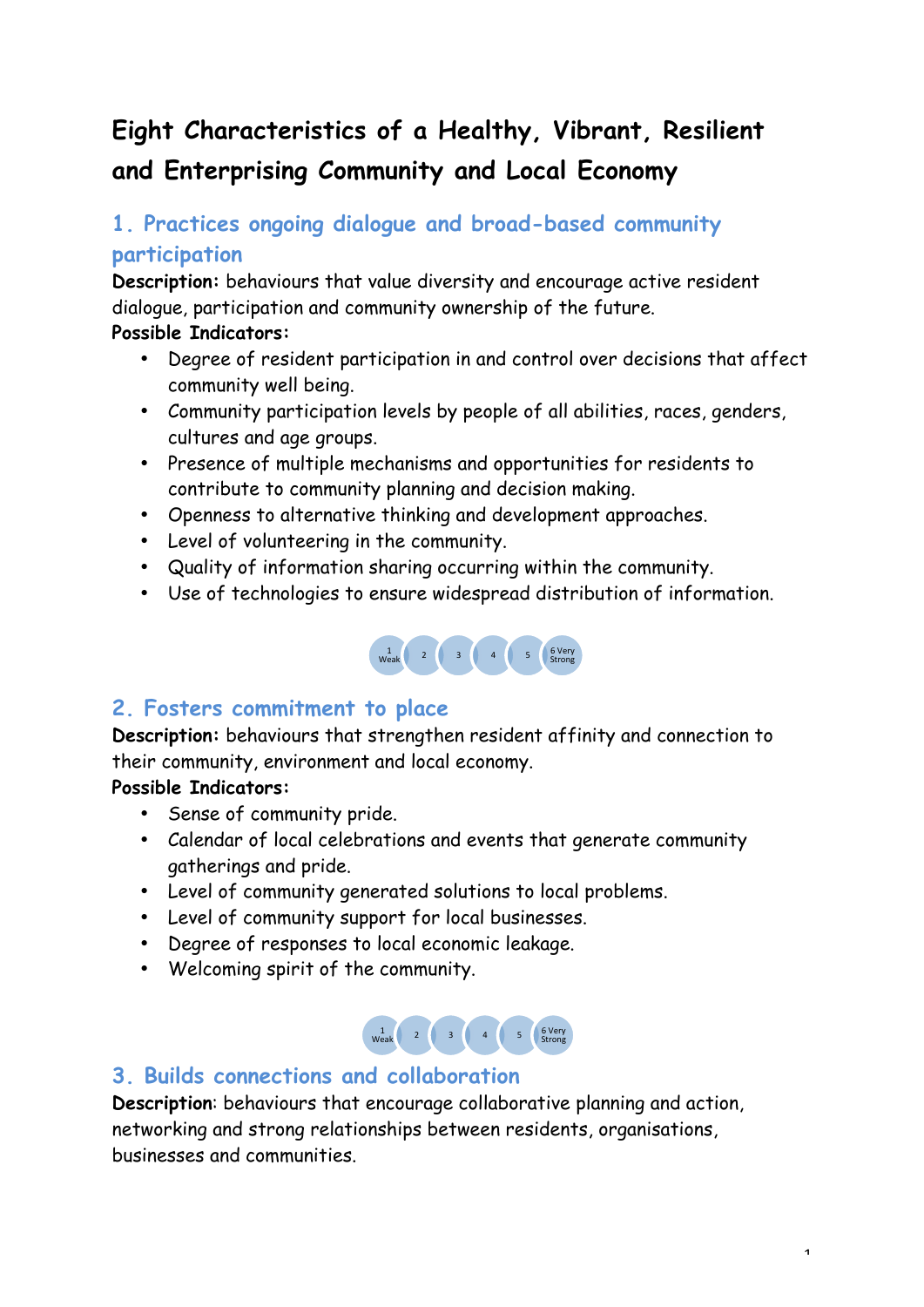# **Eight Characteristics of a Healthy, Vibrant, Resilient and Enterprising Community and Local Economy**

# **1. Practices ongoing dialogue and broad-based community participation**

**Description:** behaviours that value diversity and encourage active resident dialogue, participation and community ownership of the future.

#### **Possible Indicators:**

- Degree of resident participation in and control over decisions that affect community well being.
- Community participation levels by people of all abilities, races, genders, cultures and age groups.
- Presence of multiple mechanisms and opportunities for residents to contribute to community planning and decision making.
- Openness to alternative thinking and development approaches.
- Level of volunteering in the community.
- Quality of information sharing occurring within the community.
- Use of technologies to ensure widespread distribution of information.



## **2. Fosters commitment to place**

**Description:** behaviours that strengthen resident affinity and connection to their community, environment and local economy.

#### **Possible Indicators:**

- Sense of community pride.
- Calendar of local celebrations and events that generate community gatherings and pride.
- Level of community generated solutions to local problems.
- Level of community support for local businesses.
- Degree of responses to local economic leakage.
- Welcoming spirit of the community.



1

## **3. Builds connections and collaboration**

**Description**: behaviours that encourage collaborative planning and action, networking and strong relationships between residents, organisations, businesses and communities.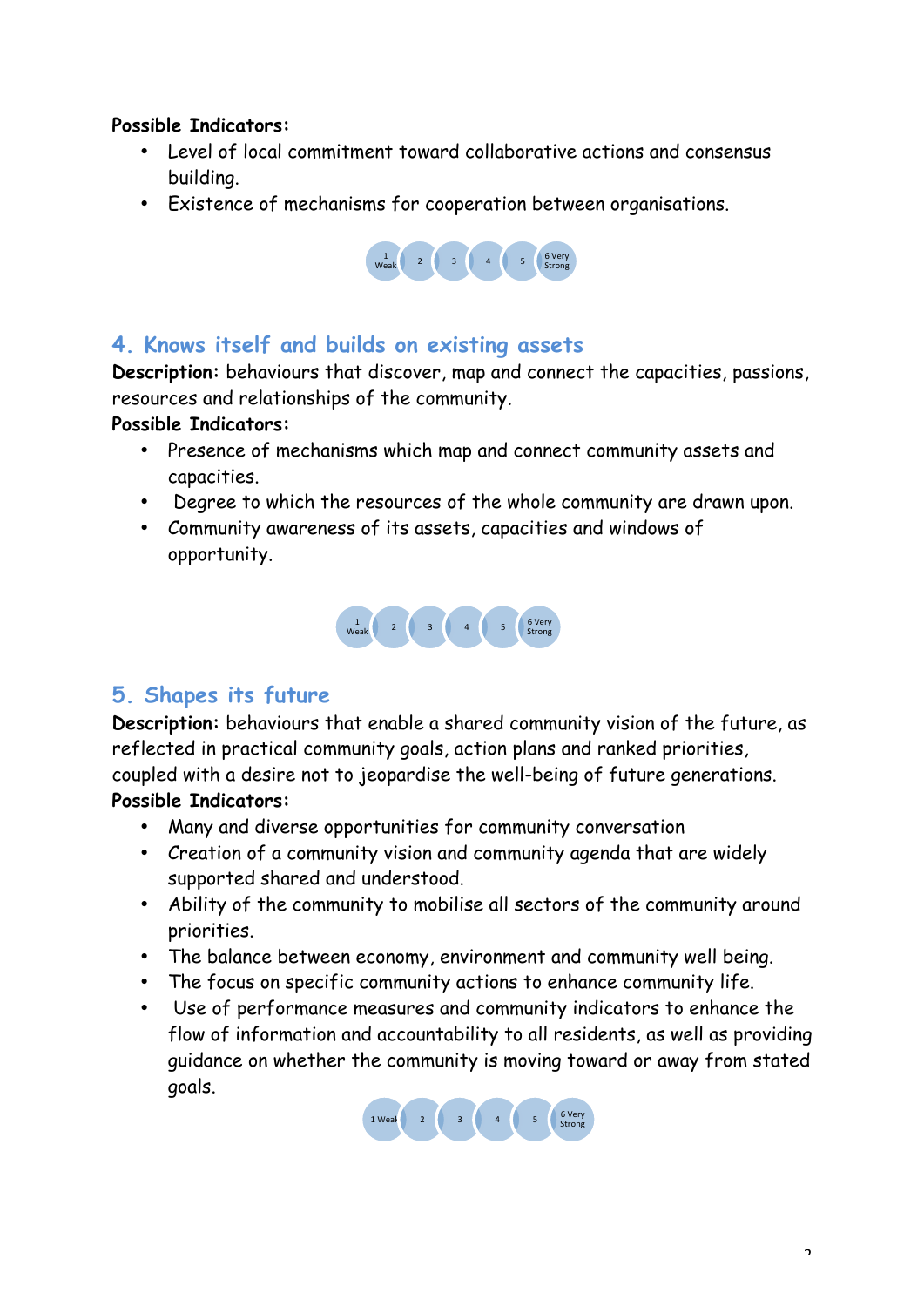#### **Possible Indicators:**

- Level of local commitment toward collaborative actions and consensus building.
- Existence of mechanisms for cooperation between organisations.



## **4. Knows itself and builds on existing assets**

**Description:** behaviours that discover, map and connect the capacities, passions, resources and relationships of the community.

#### **Possible Indicators:**

- Presence of mechanisms which map and connect community assets and capacities.
- Degree to which the resources of the whole community are drawn upon.
- Community awareness of its assets, capacities and windows of opportunity.



#### **5. Shapes its future**

**Description:** behaviours that enable a shared community vision of the future, as reflected in practical community goals, action plans and ranked priorities, coupled with a desire not to jeopardise the well-being of future generations.

#### **Possible Indicators:**

- Many and diverse opportunities for community conversation
- Creation of a community vision and community agenda that are widely supported shared and understood.
- Ability of the community to mobilise all sectors of the community around priorities.
- The balance between economy, environment and community well being.
- The focus on specific community actions to enhance community life.
- Use of performance measures and community indicators to enhance the flow of information and accountability to all residents, as well as providing guidance on whether the community is moving toward or away from stated goals.